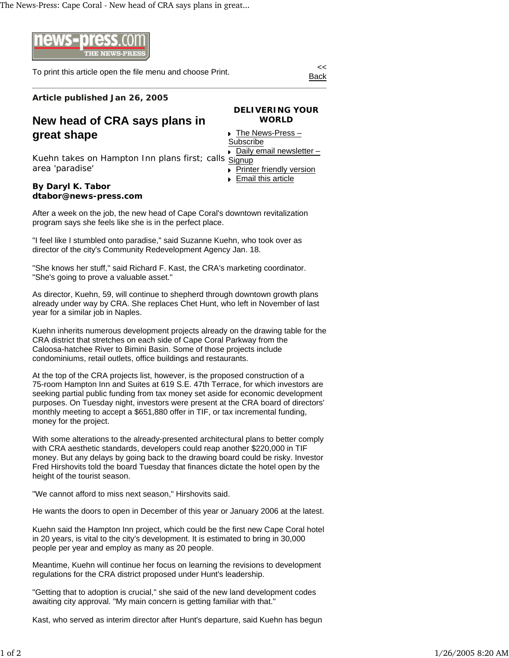The News-Press: Cape Coral - New head of CRA says plans in great...



To print this article open the file menu and choose Print.

Back

**Article published Jan 26, 2005**

## **New head of CRA says plans in great shape**

## **DELIVERING YOUR WORLD**

 The News-Press – Subscribe ▶ Daily email newsletter –

Kuehn takes on Hampton Inn plans first; calls signup area 'paradise'

**Printer friendly version Email this article** 

**By Daryl K. Tabor dtabor@news-press.com** 

After a week on the job, the new head of Cape Coral's downtown revitalization program says she feels like she is in the perfect place.

"I feel like I stumbled onto paradise," said Suzanne Kuehn, who took over as director of the city's Community Redevelopment Agency Jan. 18.

"She knows her stuff," said Richard F. Kast, the CRA's marketing coordinator. "She's going to prove a valuable asset."

As director, Kuehn, 59, will continue to shepherd through downtown growth plans already under way by CRA. She replaces Chet Hunt, who left in November of last year for a similar job in Naples.

Kuehn inherits numerous development projects already on the drawing table for the CRA district that stretches on each side of Cape Coral Parkway from the Caloosa-hatchee River to Bimini Basin. Some of those projects include condominiums, retail outlets, office buildings and restaurants.

At the top of the CRA projects list, however, is the proposed construction of a 75-room Hampton Inn and Suites at 619 S.E. 47th Terrace, for which investors are seeking partial public funding from tax money set aside for economic development purposes. On Tuesday night, investors were present at the CRA board of directors' monthly meeting to accept a \$651,880 offer in TIF, or tax incremental funding, money for the project.

With some alterations to the already-presented architectural plans to better comply with CRA aesthetic standards, developers could reap another \$220,000 in TIF money. But any delays by going back to the drawing board could be risky. Investor Fred Hirshovits told the board Tuesday that finances dictate the hotel open by the height of the tourist season.

"We cannot afford to miss next season," Hirshovits said.

He wants the doors to open in December of this year or January 2006 at the latest.

Kuehn said the Hampton Inn project, which could be the first new Cape Coral hotel in 20 years, is vital to the city's development. It is estimated to bring in 30,000 people per year and employ as many as 20 people.

Meantime, Kuehn will continue her focus on learning the revisions to development regulations for the CRA district proposed under Hunt's leadership.

"Getting that to adoption is crucial," she said of the new land development codes awaiting city approval. "My main concern is getting familiar with that."

Kast, who served as interim director after Hunt's departure, said Kuehn has begun